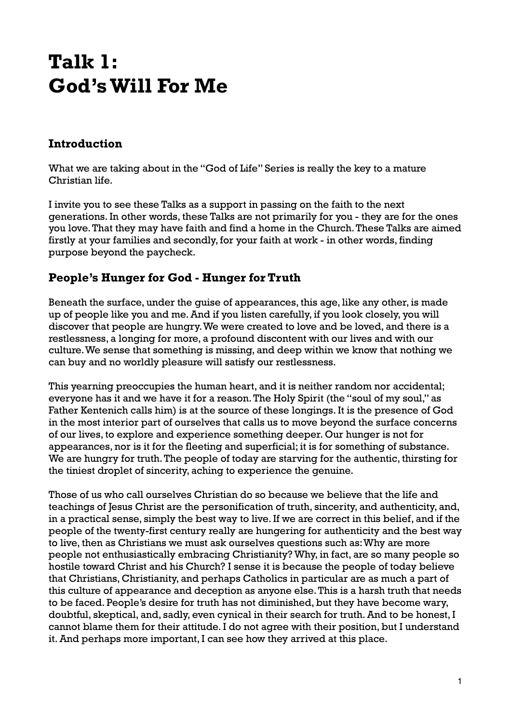# **Talk 1: God's Will For Me**

#### **Introduction**

What we are taking about in the "God of Life" Series is really the key to a mature Christian life.

I invite you to see these Talks as a support in passing on the faith to the next generations. In other words, these Talks are not primarily for you - they are for the ones you love. That they may have faith and find a home in the Church. These Talks are aimed firstly at your families and secondly, for your faith at work - in other words, finding purpose beyond the paycheck.

#### **People's Hunger for God - Hunger for Truth**

Beneath the surface, under the guise of appearances, this age, like any other, is made up of people like you and me. And if you listen carefully, if you look closely, you will discover that people are hungry. We were created to love and be loved, and there is a restlessness, a longing for more, a profound discontent with our lives and with our culture. We sense that something is missing, and deep within we know that nothing we can buy and no worldly pleasure will satisfy our restlessness.

This yearning preoccupies the human heart, and it is neither random nor accidental; everyone has it and we have it for a reason. The Holy Spirit (the "soul of my soul," as Father Kentenich calls him) is at the source of these longings. It is the presence of God in the most interior part of ourselves that calls us to move beyond the surface concerns of our lives, to explore and experience something deeper. Our hunger is not for appearances, nor is it for the fleeting and superficial; it is for something of substance. We are hungry for truth. The people of today are starving for the authentic, thirsting for the tiniest droplet of sincerity, aching to experience the genuine.

Those of us who call ourselves Christian do so because we believe that the life and teachings of Jesus Christ are the personification of truth, sincerity, and authenticity, and, in a practical sense, simply the best way to live. If we are correct in this belief, and if the people of the twenty-first century really are hungering for authenticity and the best way to live, then as Christians we must ask ourselves questions such as: Why are more people not enthusiastically embracing Christianity? Why, in fact, are so many people so hostile toward Christ and his Church? I sense it is because the people of today believe that Christians, Christianity, and perhaps Catholics in particular are as much a part of this culture of appearance and deception as anyone else. This is a harsh truth that needs to be faced. People's desire for truth has not diminished, but they have become wary, doubtful, skeptical, and, sadly, even cynical in their search for truth. And to be honest, I cannot blame them for their attitude. I do not agree with their position, but I understand it. And perhaps more important, I can see how they arrived at this place.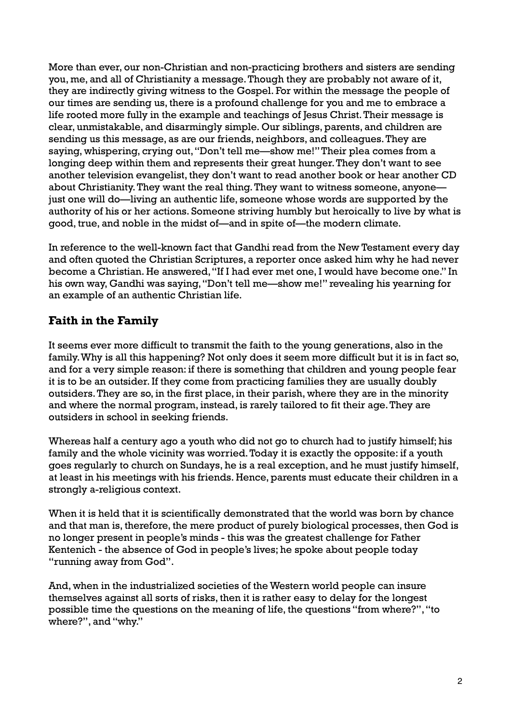More than ever, our non-Christian and non-practicing brothers and sisters are sending you, me, and all of Christianity a message. Though they are probably not aware of it, they are indirectly giving witness to the Gospel. For within the message the people of our times are sending us, there is a profound challenge for you and me to embrace a life rooted more fully in the example and teachings of Jesus Christ. Their message is clear, unmistakable, and disarmingly simple. Our siblings, parents, and children are sending us this message, as are our friends, neighbors, and colleagues. They are saying, whispering, crying out, "Don't tell me—show me!" Their plea comes from a longing deep within them and represents their great hunger. They don't want to see another television evangelist, they don't want to read another book or hear another CD about Christianity. They want the real thing. They want to witness someone, anyone just one will do—living an authentic life, someone whose words are supported by the authority of his or her actions. Someone striving humbly but heroically to live by what is good, true, and noble in the midst of—and in spite of—the modern climate.

In reference to the well-known fact that Gandhi read from the New Testament every day and often quoted the Christian Scriptures, a reporter once asked him why he had never become a Christian. He answered, "If I had ever met one, I would have become one." In his own way, Gandhi was saying, "Don't tell me—show me!" revealing his yearning for an example of an authentic Christian life.

# **Faith in the Family**

It seems ever more difficult to transmit the faith to the young generations, also in the family. Why is all this happening? Not only does it seem more difficult but it is in fact so, and for a very simple reason: if there is something that children and young people fear it is to be an outsider. If they come from practicing families they are usually doubly outsiders. They are so, in the first place, in their parish, where they are in the minority and where the normal program, instead, is rarely tailored to fit their age. They are outsiders in school in seeking friends.

Whereas half a century ago a youth who did not go to church had to justify himself; his family and the whole vicinity was worried. Today it is exactly the opposite: if a youth goes regularly to church on Sundays, he is a real exception, and he must justify himself, at least in his meetings with his friends. Hence, parents must educate their children in a strongly a-religious context.

When it is held that it is scientifically demonstrated that the world was born by chance and that man is, therefore, the mere product of purely biological processes, then God is no longer present in people's minds - this was the greatest challenge for Father Kentenich - the absence of God in people's lives; he spoke about people today "running away from God".

And, when in the industrialized societies of the Western world people can insure themselves against all sorts of risks, then it is rather easy to delay for the longest possible time the questions on the meaning of life, the questions "from where?", "to where?", and "why."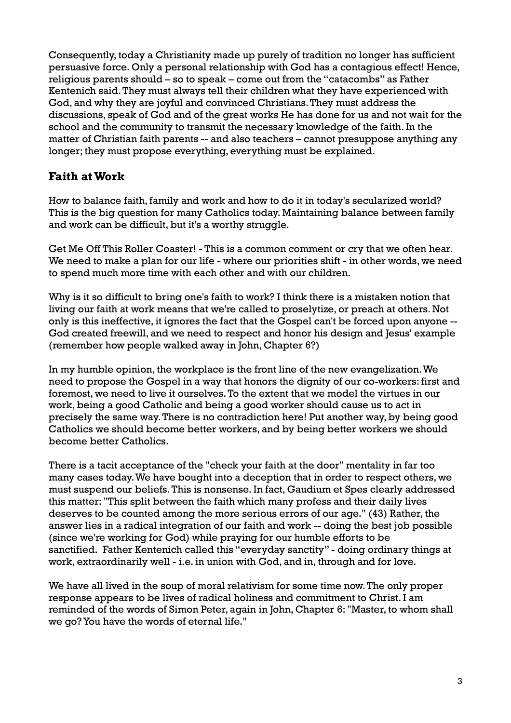Consequently, today a Christianity made up purely of tradition no longer has sufficient persuasive force. Only a personal relationship with God has a contagious effect! Hence, religious parents should – so to speak – come out from the "catacombs" as Father Kentenich said. They must always tell their children what they have experienced with God, and why they are joyful and convinced Christians. They must address the discussions, speak of God and of the great works He has done for us and not wait for the school and the community to transmit the necessary knowledge of the faith. In the matter of Christian faith parents -- and also teachers – cannot presuppose anything any longer; they must propose everything, everything must be explained.

# **Faith at Work**

How to balance faith, family and work and how to do it in today's secularized world? This is the big question for many Catholics today. Maintaining balance between family and work can be difficult, but it's a worthy struggle.

Get Me Off This Roller Coaster! - This is a common comment or cry that we often hear. We need to make a plan for our life - where our priorities shift - in other words, we need to spend much more time with each other and with our children.

Why is it so difficult to bring one's faith to work? I think there is a mistaken notion that living our faith at work means that we're called to proselytize, or preach at others. Not only is this ineffective, it ignores the fact that the Gospel can't be forced upon anyone -- God created freewill, and we need to respect and honor his design and Jesus' example (remember how people walked away in John, Chapter 6?)

In my humble opinion, the workplace is the front line of the new evangelization. We need to propose the Gospel in a way that honors the dignity of our co-workers: first and foremost, we need to live it ourselves. To the extent that we model the virtues in our work, being a good Catholic and being a good worker should cause us to act in precisely the same way. There is no contradiction here! Put another way, by being good Catholics we should become better workers, and by being better workers we should become better Catholics.

There is a tacit acceptance of the "check your faith at the door" mentality in far too many cases today. We have bought into a deception that in order to respect others, we must suspend our beliefs. This is nonsense. In fact, Gaudium et Spes clearly addressed this matter: "This split between the faith which many profess and their daily lives deserves to be counted among the more serious errors of our age." (43) Rather, the answer lies in a radical integration of our faith and work -- doing the best job possible (since we're working for God) while praying for our humble efforts to be sanctified. Father Kentenich called this "everyday sanctity" - doing ordinary things at work, extraordinarily well - i.e. in union with God, and in, through and for love.

We have all lived in the soup of moral relativism for some time now. The only proper response appears to be lives of radical holiness and commitment to Christ. I am reminded of the words of Simon Peter, again in John, Chapter 6: "Master, to whom shall we go? You have the words of eternal life."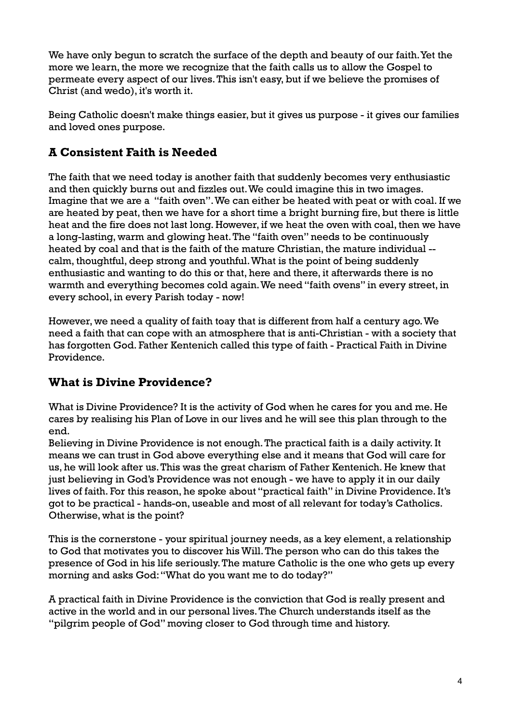We have only begun to scratch the surface of the depth and beauty of our faith. Yet the more we learn, the more we recognize that the faith calls us to allow the Gospel to permeate every aspect of our lives. This isn't easy, but if we believe the promises of Christ (and wedo), it's worth it.

Being Catholic doesn't make things easier, but it gives us purpose - it gives our families and loved ones purpose.

# **A Consistent Faith is Needed**

The faith that we need today is another faith that suddenly becomes very enthusiastic and then quickly burns out and fizzles out. We could imagine this in two images. Imagine that we are a "faith oven". We can either be heated with peat or with coal. If we are heated by peat, then we have for a short time a bright burning fire, but there is little heat and the fire does not last long. However, if we heat the oven with coal, then we have a long-lasting, warm and glowing heat. The "faith oven" needs to be continuously heated by coal and that is the faith of the mature Christian, the mature individual - calm, thoughtful, deep strong and youthful. What is the point of being suddenly enthusiastic and wanting to do this or that, here and there, it afterwards there is no warmth and everything becomes cold again. We need "faith ovens" in every street, in every school, in every Parish today - now!

However, we need a quality of faith toay that is different from half a century ago. We need a faith that can cope with an atmosphere that is anti-Christian - with a society that has forgotten God. Father Kentenich called this type of faith - Practical Faith in Divine Providence.

# **What is Divine Providence?**

What is Divine Providence? It is the activity of God when he cares for you and me. He cares by realising his Plan of Love in our lives and he will see this plan through to the end.

Believing in Divine Providence is not enough. The practical faith is a daily activity. It means we can trust in God above everything else and it means that God will care for us, he will look after us. This was the great charism of Father Kentenich. He knew that just believing in God's Providence was not enough - we have to apply it in our daily lives of faith. For this reason, he spoke about "practical faith" in Divine Providence. It's got to be practical - hands-on, useable and most of all relevant for today's Catholics. Otherwise, what is the point?

This is the cornerstone - your spiritual journey needs, as a key element, a relationship to God that motivates you to discover his Will. The person who can do this takes the presence of God in his life seriously. The mature Catholic is the one who gets up every morning and asks God: "What do you want me to do today?"

A practical faith in Divine Providence is the conviction that God is really present and active in the world and in our personal lives. The Church understands itself as the "pilgrim people of God" moving closer to God through time and history.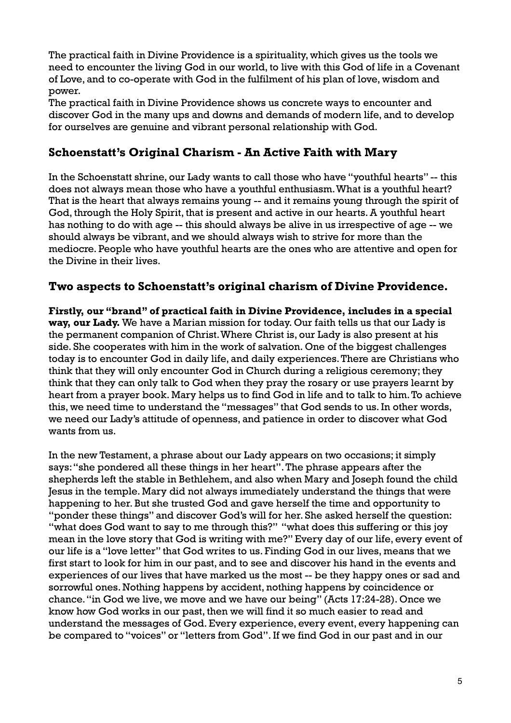The practical faith in Divine Providence is a spirituality, which gives us the tools we need to encounter the living God in our world, to live with this God of life in a Covenant of Love, and to co-operate with God in the fulfilment of his plan of love, wisdom and power.

The practical faith in Divine Providence shows us concrete ways to encounter and discover God in the many ups and downs and demands of modern life, and to develop for ourselves are genuine and vibrant personal relationship with God.

### **Schoenstatt's Original Charism - An Active Faith with Mary**

In the Schoenstatt shrine, our Lady wants to call those who have "youthful hearts" -- this does not always mean those who have a youthful enthusiasm. What is a youthful heart? That is the heart that always remains young -- and it remains young through the spirit of God, through the Holy Spirit, that is present and active in our hearts. A youthful heart has nothing to do with age -- this should always be alive in us irrespective of age -- we should always be vibrant, and we should always wish to strive for more than the mediocre. People who have youthful hearts are the ones who are attentive and open for the Divine in their lives.

#### **Two aspects to Schoenstatt's original charism of Divine Providence.**

**Firstly, our "brand" of practical faith in Divine Providence, includes in a special way, our Lady.** We have a Marian mission for today. Our faith tells us that our Lady is the permanent companion of Christ. Where Christ is, our Lady is also present at his side. She cooperates with him in the work of salvation. One of the biggest challenges today is to encounter God in daily life, and daily experiences. There are Christians who think that they will only encounter God in Church during a religious ceremony; they think that they can only talk to God when they pray the rosary or use prayers learnt by heart from a prayer book. Mary helps us to find God in life and to talk to him. To achieve this, we need time to understand the "messages" that God sends to us. In other words, we need our Lady's attitude of openness, and patience in order to discover what God wants from us.

In the new Testament, a phrase about our Lady appears on two occasions; it simply says: "she pondered all these things in her heart". The phrase appears after the shepherds left the stable in Bethlehem, and also when Mary and Joseph found the child Jesus in the temple. Mary did not always immediately understand the things that were happening to her. But she trusted God and gave herself the time and opportunity to "ponder these things" and discover God's will for her. She asked herself the question: "what does God want to say to me through this?" "what does this suffering or this joy mean in the love story that God is writing with me?" Every day of our life, every event of our life is a "love letter" that God writes to us. Finding God in our lives, means that we first start to look for him in our past, and to see and discover his hand in the events and experiences of our lives that have marked us the most -- be they happy ones or sad and sorrowful ones. Nothing happens by accident, nothing happens by coincidence or chance. "in God we live, we move and we have our being" (Acts 17:24-28). Once we know how God works in our past, then we will find it so much easier to read and understand the messages of God. Every experience, every event, every happening can be compared to "voices" or "letters from God". If we find God in our past and in our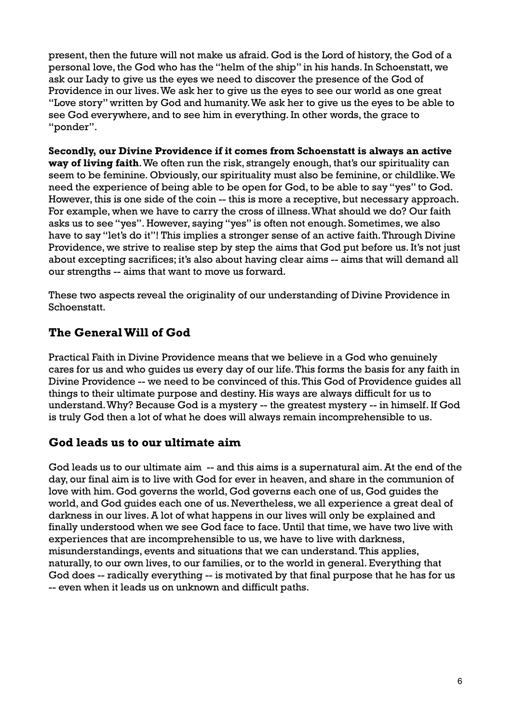present, then the future will not make us afraid. God is the Lord of history, the God of a personal love, the God who has the "helm of the ship" in his hands. In Schoenstatt, we ask our Lady to give us the eyes we need to discover the presence of the God of Providence in our lives. We ask her to give us the eyes to see our world as one great "Love story" written by God and humanity. We ask her to give us the eyes to be able to see God everywhere, and to see him in everything. In other words, the grace to "ponder".

**Secondly, our Divine Providence if it comes from Schoenstatt is always an active way of living faith**. We often run the risk, strangely enough, that's our spirituality can seem to be feminine. Obviously, our spirituality must also be feminine, or childlike. We need the experience of being able to be open for God, to be able to say "yes" to God. However, this is one side of the coin -- this is more a receptive, but necessary approach. For example, when we have to carry the cross of illness. What should we do? Our faith asks us to see "yes". However, saying "yes" is often not enough. Sometimes, we also have to say "let's do it"! This implies a stronger sense of an active faith. Through Divine Providence, we strive to realise step by step the aims that God put before us. It's not just about excepting sacrifices; it's also about having clear aims -- aims that will demand all our strengths -- aims that want to move us forward.

These two aspects reveal the originality of our understanding of Divine Providence in Schoenstatt.

# **The General Will of God**

Practical Faith in Divine Providence means that we believe in a God who genuinely cares for us and who guides us every day of our life. This forms the basis for any faith in Divine Providence -- we need to be convinced of this. This God of Providence guides all things to their ultimate purpose and destiny. His ways are always difficult for us to understand. Why? Because God is a mystery -- the greatest mystery -- in himself. If God is truly God then a lot of what he does will always remain incomprehensible to us.

# **God leads us to our ultimate aim**

God leads us to our ultimate aim -- and this aims is a supernatural aim. At the end of the day, our final aim is to live with God for ever in heaven, and share in the communion of love with him. God governs the world, God governs each one of us, God guides the world, and God guides each one of us. Nevertheless, we all experience a great deal of darkness in our lives. A lot of what happens in our lives will only be explained and finally understood when we see God face to face. Until that time, we have two live with experiences that are incomprehensible to us, we have to live with darkness, misunderstandings, events and situations that we can understand. This applies, naturally, to our own lives, to our families, or to the world in general. Everything that God does -- radically everything -- is motivated by that final purpose that he has for us -- even when it leads us on unknown and difficult paths.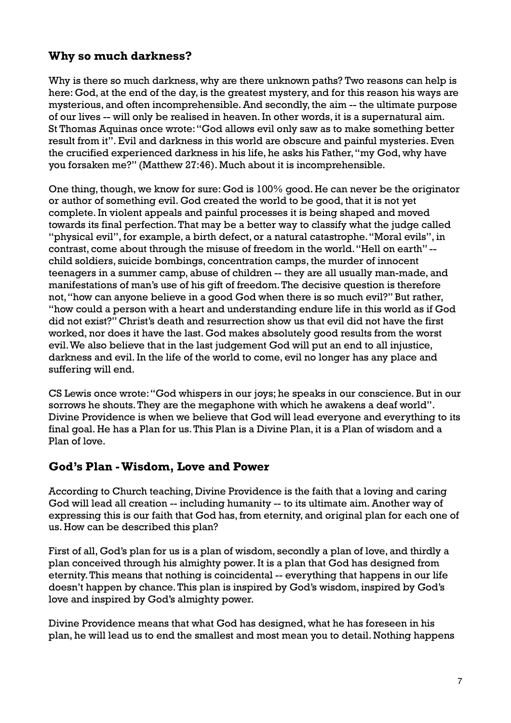# **Why so much darkness?**

Why is there so much darkness, why are there unknown paths? Two reasons can help is here: God, at the end of the day, is the greatest mystery, and for this reason his ways are mysterious, and often incomprehensible. And secondly, the aim -- the ultimate purpose of our lives -- will only be realised in heaven. In other words, it is a supernatural aim. St Thomas Aquinas once wrote: "God allows evil only saw as to make something better result from it". Evil and darkness in this world are obscure and painful mysteries. Even the crucified experienced darkness in his life, he asks his Father, "my God, why have you forsaken me?" (Matthew 27:46). Much about it is incomprehensible.

One thing, though, we know for sure: God is 100% good. He can never be the originator or author of something evil. God created the world to be good, that it is not yet complete. In violent appeals and painful processes it is being shaped and moved towards its final perfection. That may be a better way to classify what the judge called "physical evil", for example, a birth defect, or a natural catastrophe. "Moral evils", in contrast, come about through the misuse of freedom in the world. "Hell on earth" - child soldiers, suicide bombings, concentration camps, the murder of innocent teenagers in a summer camp, abuse of children -- they are all usually man-made, and manifestations of man's use of his gift of freedom. The decisive question is therefore not, "how can anyone believe in a good God when there is so much evil?" But rather, "how could a person with a heart and understanding endure life in this world as if God did not exist?" Christ's death and resurrection show us that evil did not have the first worked, nor does it have the last. God makes absolutely good results from the worst evil. We also believe that in the last judgement God will put an end to all injustice, darkness and evil. In the life of the world to come, evil no longer has any place and suffering will end.

CS Lewis once wrote: "God whispers in our joys; he speaks in our conscience. But in our sorrows he shouts. They are the megaphone with which he awakens a deaf world". Divine Providence is when we believe that God will lead everyone and everything to its final goal. He has a Plan for us. This Plan is a Divine Plan, it is a Plan of wisdom and a Plan of love.

#### **God's Plan - Wisdom, Love and Power**

According to Church teaching, Divine Providence is the faith that a loving and caring God will lead all creation -- including humanity -- to its ultimate aim. Another way of expressing this is our faith that God has, from eternity, and original plan for each one of us. How can be described this plan?

First of all, God's plan for us is a plan of wisdom, secondly a plan of love, and thirdly a plan conceived through his almighty power. It is a plan that God has designed from eternity. This means that nothing is coincidental -- everything that happens in our life doesn't happen by chance. This plan is inspired by God's wisdom, inspired by God's love and inspired by God's almighty power.

Divine Providence means that what God has designed, what he has foreseen in his plan, he will lead us to end the smallest and most mean you to detail. Nothing happens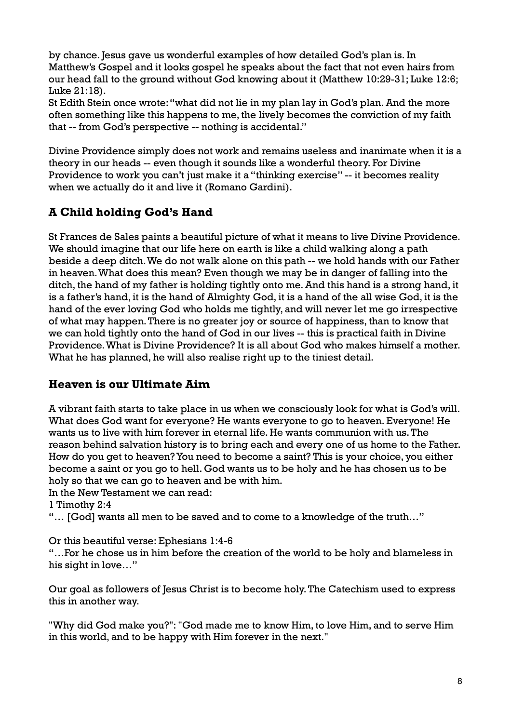by chance. Jesus gave us wonderful examples of how detailed God's plan is. In Matthew's Gospel and it looks gospel he speaks about the fact that not even hairs from our head fall to the ground without God knowing about it (Matthew 10:29-31; Luke 12:6; Luke 21:18).

St Edith Stein once wrote: "what did not lie in my plan lay in God's plan. And the more often something like this happens to me, the lively becomes the conviction of my faith that -- from God's perspective -- nothing is accidental."

Divine Providence simply does not work and remains useless and inanimate when it is a theory in our heads -- even though it sounds like a wonderful theory. For Divine Providence to work you can't just make it a "thinking exercise" -- it becomes reality when we actually do it and live it (Romano Gardini).

# **A Child holding God's Hand**

St Frances de Sales paints a beautiful picture of what it means to live Divine Providence. We should imagine that our life here on earth is like a child walking along a path beside a deep ditch. We do not walk alone on this path -- we hold hands with our Father in heaven. What does this mean? Even though we may be in danger of falling into the ditch, the hand of my father is holding tightly onto me. And this hand is a strong hand, it is a father's hand, it is the hand of Almighty God, it is a hand of the all wise God, it is the hand of the ever loving God who holds me tightly, and will never let me go irrespective of what may happen. There is no greater joy or source of happiness, than to know that we can hold tightly onto the hand of God in our lives -- this is practical faith in Divine Providence. What is Divine Providence? It is all about God who makes himself a mother. What he has planned, he will also realise right up to the tiniest detail.

# **Heaven is our Ultimate Aim**

A vibrant faith starts to take place in us when we consciously look for what is God's will. What does God want for everyone? He wants everyone to go to heaven. Everyone! He wants us to live with him forever in eternal life. He wants communion with us. The reason behind salvation history is to bring each and every one of us home to the Father. How do you get to heaven? You need to become a saint? This is your choice, you either become a saint or you go to hell. God wants us to be holy and he has chosen us to be holy so that we can go to heaven and be with him.

In the New Testament we can read:

#### 1 Timothy 2:4

"… [God] wants all men to be saved and to come to a knowledge of the truth…"

Or this beautiful verse: Ephesians 1:4-6

"…For he chose us in him before the creation of the world to be holy and blameless in his sight in love…"

Our goal as followers of Jesus Christ is to become holy. The Catechism used to express this in another way.

"Why did God make you?": "God made me to know Him, to love Him, and to serve Him in this world, and to be happy with Him forever in the next."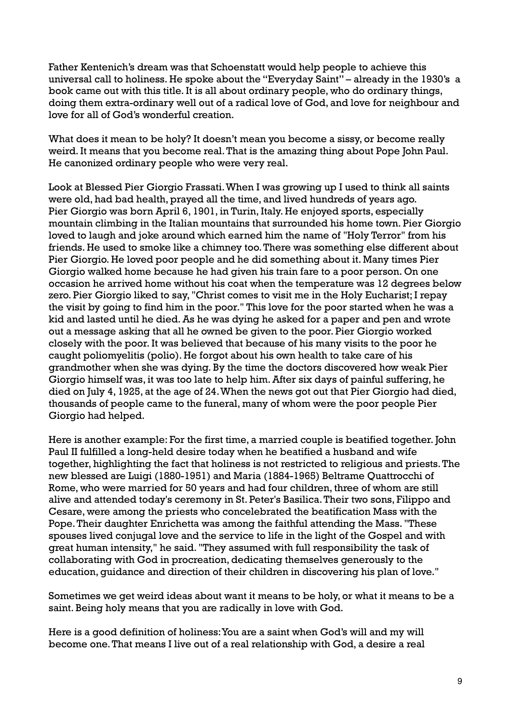Father Kentenich's dream was that Schoenstatt would help people to achieve this universal call to holiness. He spoke about the "Everyday Saint" – already in the 1930's a book came out with this title. It is all about ordinary people, who do ordinary things, doing them extra-ordinary well out of a radical love of God, and love for neighbour and love for all of God's wonderful creation.

What does it mean to be holy? It doesn't mean you become a sissy, or become really weird. It means that you become real. That is the amazing thing about Pope John Paul. He canonized ordinary people who were very real.

Look at Blessed Pier Giorgio Frassati. When I was growing up I used to think all saints were old, had bad health, prayed all the time, and lived hundreds of years ago. Pier Giorgio was born April 6, 1901, in Turin, Italy. He enjoyed sports, especially mountain climbing in the Italian mountains that surrounded his home town. Pier Giorgio loved to laugh and joke around which earned him the name of "Holy Terror" from his friends. He used to smoke like a chimney too. There was something else different about Pier Giorgio. He loved poor people and he did something about it. Many times Pier Giorgio walked home because he had given his train fare to a poor person. On one occasion he arrived home without his coat when the temperature was 12 degrees below zero. Pier Giorgio liked to say, "Christ comes to visit me in the Holy Eucharist; I repay the visit by going to find him in the poor." This love for the poor started when he was a kid and lasted until he died. As he was dying he asked for a paper and pen and wrote out a message asking that all he owned be given to the poor. Pier Giorgio worked closely with the poor. It was believed that because of his many visits to the poor he caught poliomyelitis (polio). He forgot about his own health to take care of his grandmother when she was dying. By the time the doctors discovered how weak Pier Giorgio himself was, it was too late to help him. After six days of painful suffering, he died on July 4, 1925, at the age of 24. When the news got out that Pier Giorgio had died, thousands of people came to the funeral, many of whom were the poor people Pier Giorgio had helped.

Here is another example: For the first time, a married couple is beatified together. John Paul II fulfilled a long-held desire today when he beatified a husband and wife together, highlighting the fact that holiness is not restricted to religious and priests. The new blessed are Luigi (1880-1951) and Maria (1884-1965) Beltrame Quattrocchi of Rome, who were married for 50 years and had four children, three of whom are still alive and attended today's ceremony in St. Peter's Basilica. Their two sons, Filippo and Cesare, were among the priests who concelebrated the beatification Mass with the Pope. Their daughter Enrichetta was among the faithful attending the Mass. "These spouses lived conjugal love and the service to life in the light of the Gospel and with great human intensity," he said. "They assumed with full responsibility the task of collaborating with God in procreation, dedicating themselves generously to the education, guidance and direction of their children in discovering his plan of love."

Sometimes we get weird ideas about want it means to be holy, or what it means to be a saint. Being holy means that you are radically in love with God.

Here is a good definition of holiness: You are a saint when God's will and my will become one. That means I live out of a real relationship with God, a desire a real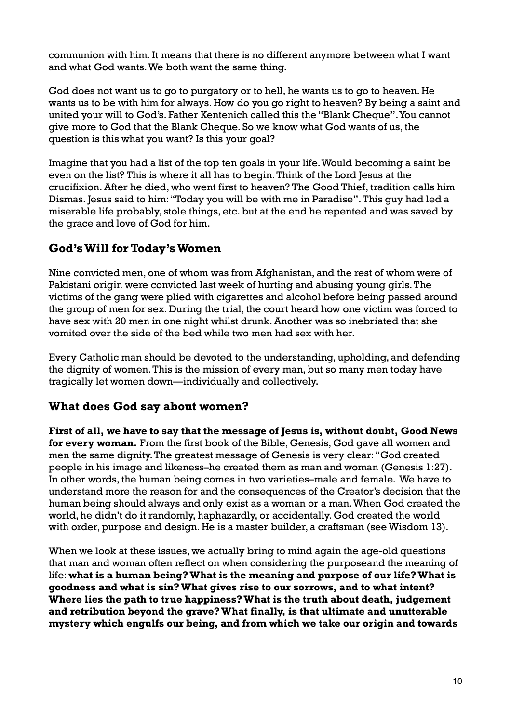communion with him. It means that there is no different anymore between what I want and what God wants. We both want the same thing.

God does not want us to go to purgatory or to hell, he wants us to go to heaven. He wants us to be with him for always. How do you go right to heaven? By being a saint and united your will to God's. Father Kentenich called this the "Blank Cheque". You cannot give more to God that the Blank Cheque. So we know what God wants of us, the question is this what you want? Is this your goal?

Imagine that you had a list of the top ten goals in your life. Would becoming a saint be even on the list? This is where it all has to begin. Think of the Lord Jesus at the crucifixion. After he died, who went first to heaven? The Good Thief, tradition calls him Dismas. Jesus said to him: "Today you will be with me in Paradise". This guy had led a miserable life probably, stole things, etc. but at the end he repented and was saved by the grace and love of God for him.

# **God's Will for Today's Women**

Nine convicted men, one of whom was from Afghanistan, and the rest of whom were of Pakistani origin were convicted last week of hurting and abusing young girls. The victims of the gang were plied with cigarettes and alcohol before being passed around the group of men for sex. During the trial, the court heard how one victim was forced to have sex with 20 men in one night whilst drunk. Another was so inebriated that she vomited over the side of the bed while two men had sex with her.

Every Catholic man should be devoted to the understanding, upholding, and defending the dignity of women. This is the mission of every man, but so many men today have tragically let women down—individually and collectively.

# **What does God say about women?**

**First of all, we have to say that the message of Jesus is, without doubt, Good News for every woman.** From the first book of the Bible, Genesis, God gave all women and men the same dignity. The greatest message of Genesis is very clear: "God created people in his image and likeness–he created them as man and woman (Genesis 1:27). In other words, the human being comes in two varieties–male and female. We have to understand more the reason for and the consequences of the Creator's decision that the human being should always and only exist as a woman or a man. When God created the world, he didn't do it randomly, haphazardly, or accidentally. God created the world with order, purpose and design. He is a master builder, a craftsman (see Wisdom 13).

When we look at these issues, we actually bring to mind again the age-old questions that man and woman often reflect on when considering the purposeand the meaning of life: **what is a human being? What is the meaning and purpose of our life? What is goodness and what is sin? What gives rise to our sorrows, and to what intent? Where lies the path to true happiness? What is the truth about death, judgement and retribution beyond the grave? What finally, is that ultimate and unutterable mystery which engulfs our being, and from which we take our origin and towards**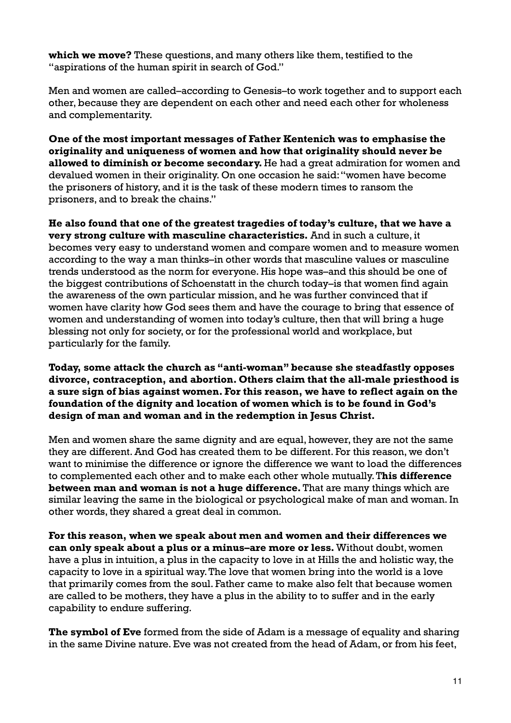**which we move?** These questions, and many others like them, testified to the "aspirations of the human spirit in search of God."

Men and women are called–according to Genesis–to work together and to support each other, because they are dependent on each other and need each other for wholeness and complementarity.

**One of the most important messages of Father Kentenich was to emphasise the originality and uniqueness of women and how that originality should never be allowed to diminish or become secondary.** He had a great admiration for women and devalued women in their originality. On one occasion he said: "women have become the prisoners of history, and it is the task of these modern times to ransom the prisoners, and to break the chains."

**He also found that one of the greatest tragedies of today's culture, that we have a very strong culture with masculine characteristics.** And in such a culture, it becomes very easy to understand women and compare women and to measure women according to the way a man thinks–in other words that masculine values or masculine trends understood as the norm for everyone. His hope was–and this should be one of the biggest contributions of Schoenstatt in the church today–is that women find again the awareness of the own particular mission, and he was further convinced that if women have clarity how God sees them and have the courage to bring that essence of women and understanding of women into today's culture, then that will bring a huge blessing not only for society, or for the professional world and workplace, but particularly for the family.

**Today, some attack the church as "anti-woman" because she steadfastly opposes divorce, contraception, and abortion. Others claim that the all-male priesthood is a sure sign of bias against women. For this reason, we have to reflect again on the foundation of the dignity and location of women which is to be found in God's design of man and woman and in the redemption in Jesus Christ.**

Men and women share the same dignity and are equal, however, they are not the same they are different. And God has created them to be different. For this reason, we don't want to minimise the difference or ignore the difference we want to load the differences to complemented each other and to make each other whole mutually. T**his difference between man and woman is not a huge difference.** That are many things which are similar leaving the same in the biological or psychological make of man and woman. In other words, they shared a great deal in common.

**For this reason, when we speak about men and women and their differences we can only speak about a plus or a minus–are more or less.** Without doubt, women have a plus in intuition, a plus in the capacity to love in at Hills the and holistic way, the capacity to love in a spiritual way. The love that women bring into the world is a love that primarily comes from the soul. Father came to make also felt that because women are called to be mothers, they have a plus in the ability to to suffer and in the early capability to endure suffering.

**The symbol of Eve** formed from the side of Adam is a message of equality and sharing in the same Divine nature. Eve was not created from the head of Adam, or from his feet,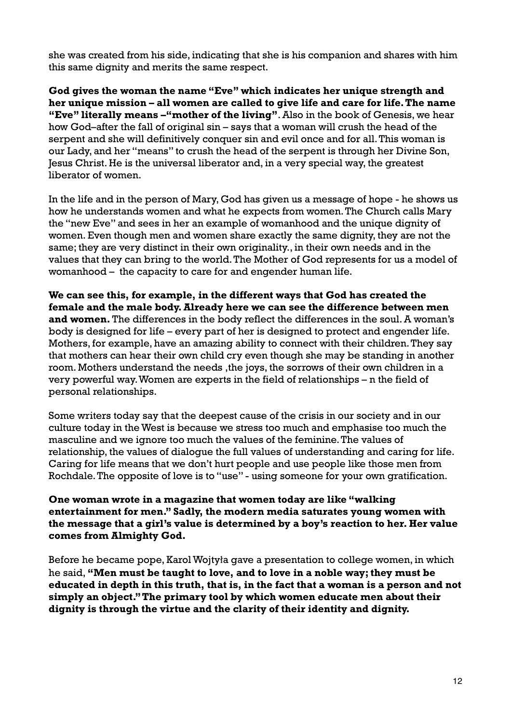she was created from his side, indicating that she is his companion and shares with him this same dignity and merits the same respect.

**God gives the woman the name "Eve" which indicates her unique strength and her unique mission – all women are called to give life and care for life. The name "Eve" literally means –"mother of the living"**. Also in the book of Genesis, we hear how God–after the fall of original sin – says that a woman will crush the head of the serpent and she will definitively conquer sin and evil once and for all. This woman is our Lady, and her "means" to crush the head of the serpent is through her Divine Son, Jesus Christ. He is the universal liberator and, in a very special way, the greatest liberator of women.

In the life and in the person of Mary, God has given us a message of hope - he shows us how he understands women and what he expects from women. The Church calls Mary the "new Eve" and sees in her an example of womanhood and the unique dignity of women. Even though men and women share exactly the same dignity, they are not the same; they are very distinct in their own originality., in their own needs and in the values that they can bring to the world. The Mother of God represents for us a model of womanhood – the capacity to care for and engender human life.

**We can see this, for example, in the different ways that God has created the female and the male body. Already here we can see the difference between men and women.** The differences in the body reflect the differences in the soul. A woman's body is designed for life – every part of her is designed to protect and engender life. Mothers, for example, have an amazing ability to connect with their children. They say that mothers can hear their own child cry even though she may be standing in another room. Mothers understand the needs ,the joys, the sorrows of their own children in a very powerful way. Women are experts in the field of relationships – n the field of personal relationships.

Some writers today say that the deepest cause of the crisis in our society and in our culture today in the West is because we stress too much and emphasise too much the masculine and we ignore too much the values of the feminine. The values of relationship, the values of dialogue the full values of understanding and caring for life. Caring for life means that we don't hurt people and use people like those men from Rochdale. The opposite of love is to "use" - using someone for your own gratification.

**One woman wrote in a magazine that women today are like "walking entertainment for men." Sadly, the modern media saturates young women with the message that a girl's value is determined by a boy's reaction to her. Her value comes from Almighty God.**

Before he became pope, Karol Wojtyła gave a presentation to college women, in which he said, **"Men must be taught to love, and to love in a noble way; they must be educated in depth in this truth, that is, in the fact that a woman is a person and not simply an object." The primary tool by which women educate men about their dignity is through the virtue and the clarity of their identity and dignity.**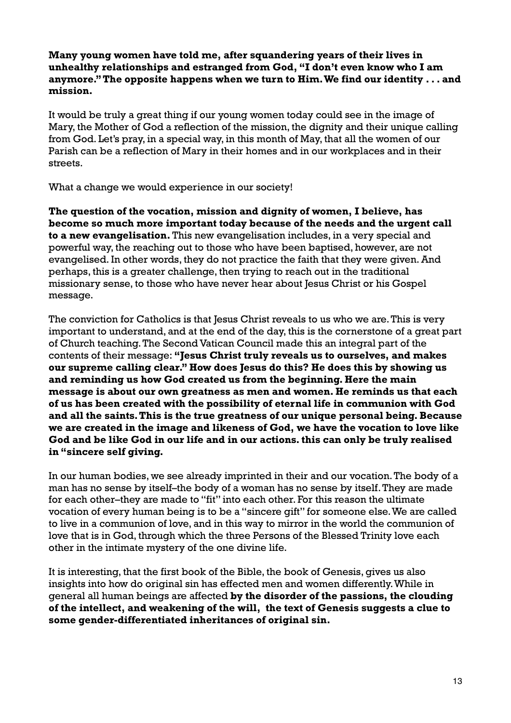**Many young women have told me, after squandering years of their lives in unhealthy relationships and estranged from God, "I don't even know who I am anymore." The opposite happens when we turn to Him. We find our identity . . . and mission.**

It would be truly a great thing if our young women today could see in the image of Mary, the Mother of God a reflection of the mission, the dignity and their unique calling from God. Let's pray, in a special way, in this month of May, that all the women of our Parish can be a reflection of Mary in their homes and in our workplaces and in their streets.

What a change we would experience in our society!

**The question of the vocation, mission and dignity of women, I believe, has become so much more important today because of the needs and the urgent call to a new evangelisation.** This new evangelisation includes, in a very special and powerful way, the reaching out to those who have been baptised, however, are not evangelised. In other words, they do not practice the faith that they were given. And perhaps, this is a greater challenge, then trying to reach out in the traditional missionary sense, to those who have never hear about Jesus Christ or his Gospel message.

The conviction for Catholics is that Jesus Christ reveals to us who we are. This is very important to understand, and at the end of the day, this is the cornerstone of a great part of Church teaching. The Second Vatican Council made this an integral part of the contents of their message: **"Jesus Christ truly reveals us to ourselves, and makes our supreme calling clear." How does Jesus do this? He does this by showing us and reminding us how God created us from the beginning. Here the main message is about our own greatness as men and women. He reminds us that each of us has been created with the possibility of eternal life in communion with God and all the saints. This is the true greatness of our unique personal being. Because we are created in the image and likeness of God, we have the vocation to love like God and be like God in our life and in our actions. this can only be truly realised in "sincere self giving.** 

In our human bodies, we see already imprinted in their and our vocation. The body of a man has no sense by itself–the body of a woman has no sense by itself. They are made for each other–they are made to "fit" into each other. For this reason the ultimate vocation of every human being is to be a "sincere gift" for someone else. We are called to live in a communion of love, and in this way to mirror in the world the communion of love that is in God, through which the three Persons of the Blessed Trinity love each other in the intimate mystery of the one divine life.

It is interesting, that the first book of the Bible, the book of Genesis, gives us also insights into how do original sin has effected men and women differently. While in general all human beings are affected **by the disorder of the passions, the clouding of the intellect, and weakening of the will, the text of Genesis suggests a clue to some gender-differentiated inheritances of original sin.**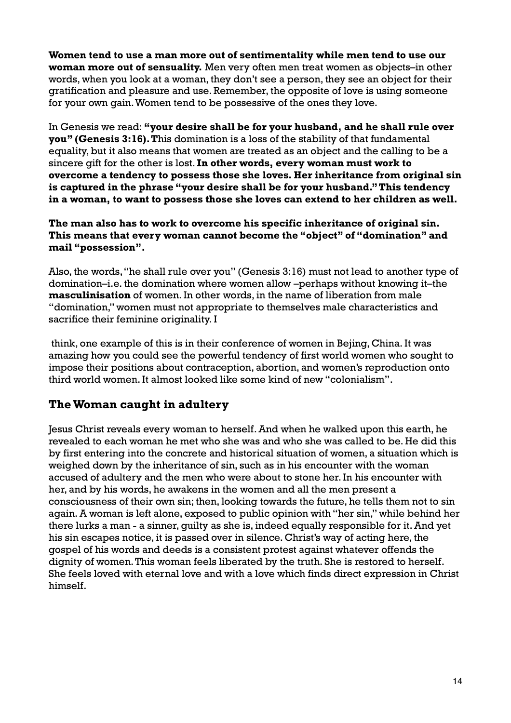**Women tend to use a man more out of sentimentality while men tend to use our woman more out of sensuality.** Men very often men treat women as objects–in other words, when you look at a woman, they don't see a person, they see an object for their gratification and pleasure and use. Remember, the opposite of love is using someone for your own gain. Women tend to be possessive of the ones they love.

In Genesis we read: **"your desire shall be for your husband, and he shall rule over you" (Genesis 3:16). T**his domination is a loss of the stability of that fundamental equality, but it also means that women are treated as an object and the calling to be a sincere gift for the other is lost. **In other words, every woman must work to overcome a tendency to possess those she loves. Her inheritance from original sin is captured in the phrase "your desire shall be for your husband." This tendency in a woman, to want to possess those she loves can extend to her children as well.** 

**The man also has to work to overcome his specific inheritance of original sin. This means that every woman cannot become the "object" of "domination" and mail "possession".**

Also, the words, "he shall rule over you" (Genesis 3:16) must not lead to another type of domination–i.e. the domination where women allow –perhaps without knowing it–the **masculinisation** of women. In other words, in the name of liberation from male "domination," women must not appropriate to themselves male characteristics and sacrifice their feminine originality. I

 think, one example of this is in their conference of women in Bejing, China. It was amazing how you could see the powerful tendency of first world women who sought to impose their positions about contraception, abortion, and women's reproduction onto third world women. It almost looked like some kind of new "colonialism".

#### **The Woman caught in adultery**

Jesus Christ reveals every woman to herself. And when he walked upon this earth, he revealed to each woman he met who she was and who she was called to be. He did this by first entering into the concrete and historical situation of women, a situation which is weighed down by the inheritance of sin, such as in his encounter with the woman accused of adultery and the men who were about to stone her. In his encounter with her, and by his words, he awakens in the women and all the men present a consciousness of their own sin; then, looking towards the future, he tells them not to sin again. A woman is left alone, exposed to public opinion with "her sin," while behind her there lurks a man - a sinner, guilty as she is, indeed equally responsible for it. And yet his sin escapes notice, it is passed over in silence. Christ's way of acting here, the gospel of his words and deeds is a consistent protest against whatever offends the dignity of women. This woman feels liberated by the truth. She is restored to herself. She feels loved with eternal love and with a love which finds direct expression in Christ himself.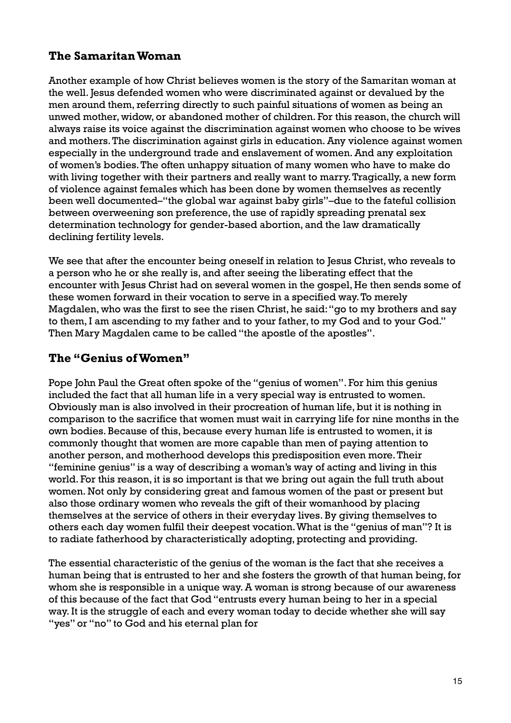### **The Samaritan Woman**

Another example of how Christ believes women is the story of the Samaritan woman at the well. Jesus defended women who were discriminated against or devalued by the men around them, referring directly to such painful situations of women as being an unwed mother, widow, or abandoned mother of children. For this reason, the church will always raise its voice against the discrimination against women who choose to be wives and mothers. The discrimination against girls in education. Any violence against women especially in the underground trade and enslavement of women. And any exploitation of women's bodies. The often unhappy situation of many women who have to make do with living together with their partners and really want to marry. Tragically, a new form of violence against females which has been done by women themselves as recently been well documented–"the global war against baby girls"–due to the fateful collision between overweening son preference, the use of rapidly spreading prenatal sex determination technology for gender-based abortion, and the law dramatically declining fertility levels.

We see that after the encounter being oneself in relation to Jesus Christ, who reveals to a person who he or she really is, and after seeing the liberating effect that the encounter with Jesus Christ had on several women in the gospel, He then sends some of these women forward in their vocation to serve in a specified way. To merely Magdalen, who was the first to see the risen Christ, he said: "go to my brothers and say to them, I am ascending to my father and to your father, to my God and to your God." Then Mary Magdalen came to be called "the apostle of the apostles".

#### **The "Genius of Women"**

Pope John Paul the Great often spoke of the "genius of women". For him this genius included the fact that all human life in a very special way is entrusted to women. Obviously man is also involved in their procreation of human life, but it is nothing in comparison to the sacrifice that women must wait in carrying life for nine months in the own bodies. Because of this, because every human life is entrusted to women, it is commonly thought that women are more capable than men of paying attention to another person, and motherhood develops this predisposition even more. Their "feminine genius" is a way of describing a woman's way of acting and living in this world. For this reason, it is so important is that we bring out again the full truth about women. Not only by considering great and famous women of the past or present but also those ordinary women who reveals the gift of their womanhood by placing themselves at the service of others in their everyday lives. By giving themselves to others each day women fulfil their deepest vocation. What is the "genius of man"? It is to radiate fatherhood by characteristically adopting, protecting and providing.

The essential characteristic of the genius of the woman is the fact that she receives a human being that is entrusted to her and she fosters the growth of that human being, for whom she is responsible in a unique way. A woman is strong because of our awareness of this because of the fact that God "entrusts every human being to her in a special way. It is the struggle of each and every woman today to decide whether she will say "yes" or "no" to God and his eternal plan for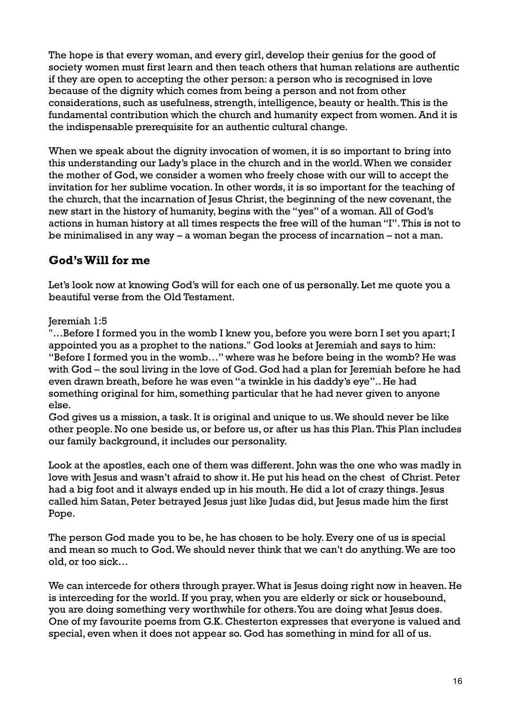The hope is that every woman, and every girl, develop their genius for the good of society women must first learn and then teach others that human relations are authentic if they are open to accepting the other person: a person who is recognised in love because of the dignity which comes from being a person and not from other considerations, such as usefulness, strength, intelligence, beauty or health. This is the fundamental contribution which the church and humanity expect from women. And it is the indispensable prerequisite for an authentic cultural change.

When we speak about the dignity invocation of women, it is so important to bring into this understanding our Lady's place in the church and in the world. When we consider the mother of God, we consider a women who freely chose with our will to accept the invitation for her sublime vocation. In other words, it is so important for the teaching of the church, that the incarnation of Jesus Christ, the beginning of the new covenant, the new start in the history of humanity, begins with the "yes" of a woman. All of God's actions in human history at all times respects the free will of the human "I". This is not to be minimalised in any way – a woman began the process of incarnation – not a man.

#### **God's Will for me**

Let's look now at knowing God's will for each one of us personally. Let me quote you a beautiful verse from the Old Testament.

#### Jeremiah 1:5

"…Before I formed you in the womb I knew you, before you were born I set you apart; I appointed you as a prophet to the nations." God looks at Jeremiah and says to him: "Before I formed you in the womb…" where was he before being in the womb? He was with God – the soul living in the love of God. God had a plan for Jeremiah before he had even drawn breath, before he was even "a twinkle in his daddy's eye".. He had something original for him, something particular that he had never given to anyone else.

God gives us a mission, a task. It is original and unique to us. We should never be like other people. No one beside us, or before us, or after us has this Plan. This Plan includes our family background, it includes our personality.

Look at the apostles, each one of them was different. John was the one who was madly in love with Jesus and wasn't afraid to show it. He put his head on the chest of Christ. Peter had a big foot and it always ended up in his mouth. He did a lot of crazy things. Jesus called him Satan, Peter betrayed Jesus just like Judas did, but Jesus made him the first Pope.

The person God made you to be, he has chosen to be holy. Every one of us is special and mean so much to God. We should never think that we can't do anything. We are too old, or too sick…

We can intercede for others through prayer. What is Jesus doing right now in heaven. He is interceding for the world. If you pray, when you are elderly or sick or housebound, you are doing something very worthwhile for others. You are doing what Jesus does. One of my favourite poems from G.K. Chesterton expresses that everyone is valued and special, even when it does not appear so. God has something in mind for all of us.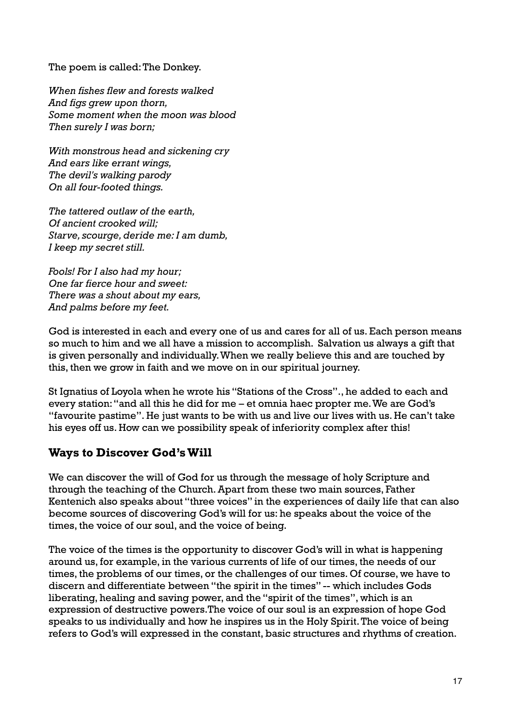The poem is called: The Donkey.

*When fishes flew and forests walked And figs grew upon thorn, Some moment when the moon was blood Then surely I was born;* 

*With monstrous head and sickening cry And ears like errant wings, The devil's walking parody On all four-footed things.* 

*The tattered outlaw of the earth, Of ancient crooked will; Starve, scourge, deride me: I am dumb, I keep my secret still.* 

*Fools! For I also had my hour; One far fierce hour and sweet: There was a shout about my ears, And palms before my feet.*

God is interested in each and every one of us and cares for all of us. Each person means so much to him and we all have a mission to accomplish. Salvation us always a gift that is given personally and individually. When we really believe this and are touched by this, then we grow in faith and we move on in our spiritual journey.

St Ignatius of Loyola when he wrote his "Stations of the Cross"., he added to each and every station: "and all this he did for me – et omnia haec propter me. We are God's "favourite pastime". He just wants to be with us and live our lives with us. He can't take his eyes off us. How can we possibility speak of inferiority complex after this!

#### **Ways to Discover God's Will**

We can discover the will of God for us through the message of holy Scripture and through the teaching of the Church. Apart from these two main sources, Father Kentenich also speaks about "three voices" in the experiences of daily life that can also become sources of discovering God's will for us: he speaks about the voice of the times, the voice of our soul, and the voice of being.

The voice of the times is the opportunity to discover God's will in what is happening around us, for example, in the various currents of life of our times, the needs of our times, the problems of our times, or the challenges of our times. Of course, we have to discern and differentiate between "the spirit in the times" -- which includes Gods liberating, healing and saving power, and the "spirit of the times", which is an expression of destructive powers.The voice of our soul is an expression of hope God speaks to us individually and how he inspires us in the Holy Spirit. The voice of being refers to God's will expressed in the constant, basic structures and rhythms of creation.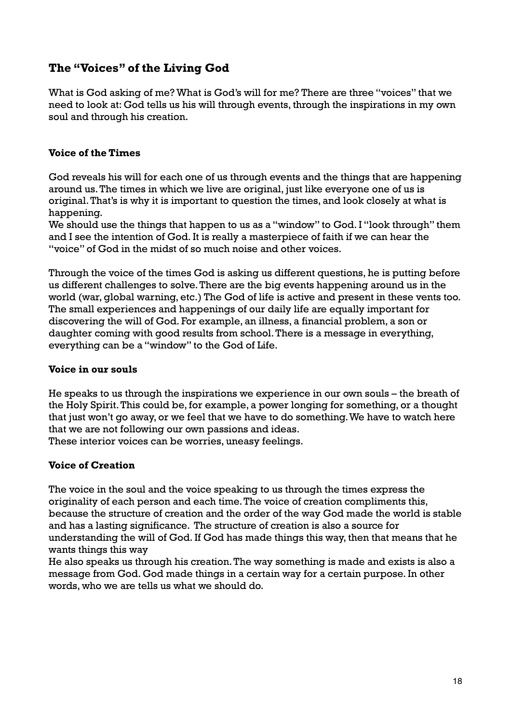# **The "Voices" of the Living God**

What is God asking of me? What is God's will for me? There are three "voices" that we need to look at: God tells us his will through events, through the inspirations in my own soul and through his creation.

#### **Voice of the Times**

God reveals his will for each one of us through events and the things that are happening around us. The times in which we live are original, just like everyone one of us is original. That's is why it is important to question the times, and look closely at what is happening.

We should use the things that happen to us as a "window" to God. I "look through" them and I see the intention of God. It is really a masterpiece of faith if we can hear the "voice" of God in the midst of so much noise and other voices.

Through the voice of the times God is asking us different questions, he is putting before us different challenges to solve. There are the big events happening around us in the world (war, global warning, etc.) The God of life is active and present in these vents too. The small experiences and happenings of our daily life are equally important for discovering the will of God. For example, an illness, a financial problem, a son or daughter coming with good results from school. There is a message in everything, everything can be a "window" to the God of Life.

#### **Voice in our souls**

He speaks to us through the inspirations we experience in our own souls – the breath of the Holy Spirit. This could be, for example, a power longing for something, or a thought that just won't go away, or we feel that we have to do something. We have to watch here that we are not following our own passions and ideas.

These interior voices can be worries, uneasy feelings.

#### **Voice of Creation**

The voice in the soul and the voice speaking to us through the times express the originality of each person and each time. The voice of creation compliments this, because the structure of creation and the order of the way God made the world is stable and has a lasting significance. The structure of creation is also a source for understanding the will of God. If God has made things this way, then that means that he wants things this way

He also speaks us through his creation. The way something is made and exists is also a message from God. God made things in a certain way for a certain purpose. In other words, who we are tells us what we should do.